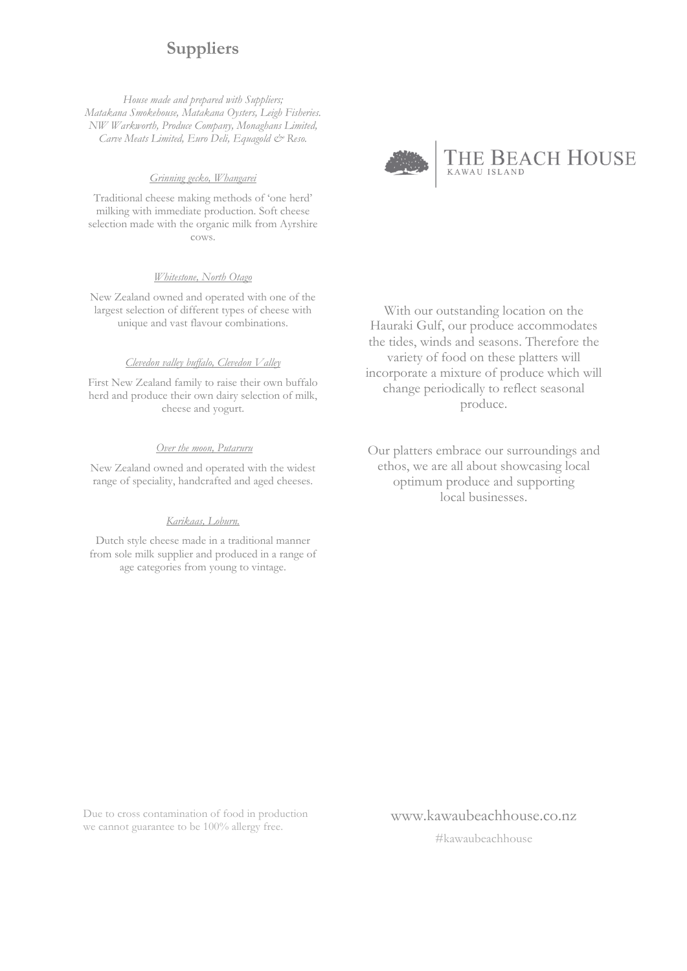## **Suppliers**

*House made and prepared with Suppliers; Matakana Smokehouse, Matakana Oysters, Leigh Fisheries. NW Warkworth, Produce Company, Monaghans Limited, Carve Meats Limited, Euro Deli, Equagold & Reso.*

#### *Grinning gecko, Whangarei*

Traditional cheese making methods of 'one herd' milking with immediate production. Soft cheese selection made with the organic milk from Ayrshire cows.

### *Whitestone, North Otago*

New Zealand owned and operated with one of the largest selection of different types of cheese with unique and vast flavour combinations.

#### *Clevedon valley buffalo, Clevedon Valley*

First New Zealand family to raise their own buffalo herd and produce their own dairy selection of milk, cheese and yogurt.

### *Over the moon, Putaruru*

New Zealand owned and operated with the widest range of speciality, handcrafted and aged cheeses.

#### *Karikaas, Loburn.*

Dutch style cheese made in a traditional manner from sole milk supplier and produced in a range of age categories from young to vintage.



# THE BEACH HOUSE

With our outstanding location on the Hauraki Gulf, our produce accommodates the tides, winds and seasons. Therefore the variety of food on these platters will incorporate a mixture of produce which will change periodically to reflect seasonal produce.

Our platters embrace our surroundings and ethos, we are all about showcasing local optimum produce and supporting local businesses.

Due to cross contamination of food in production we cannot guarantee to be 100% allergy free.

www.kawaubeachhouse.co.nz

#kawaubeachhouse